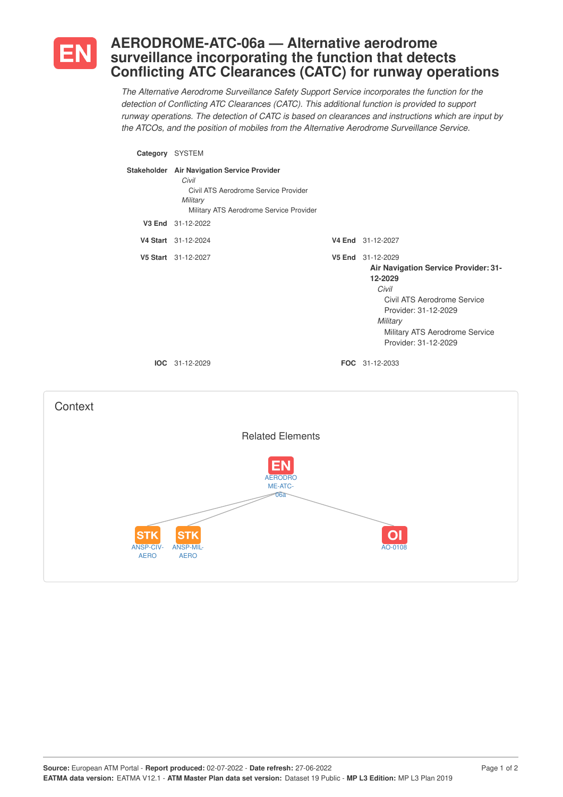

## **AERODROME-ATC-06a — Alternative aerodrome surveillance incorporating the function that detects Conflicting ATC Clearances (CATC) for runway operations**

*The Alternative Aerodrome Surveillance Safety Support Service incorporates the function for the detection of Conflicting ATC Clearances (CATC). This additional function is provided to support runway operations. The detection of CATC is based on clearances and instructions which are input by the ATCOs, and the position of mobiles from the Alternative Aerodrome Surveillance Service.*